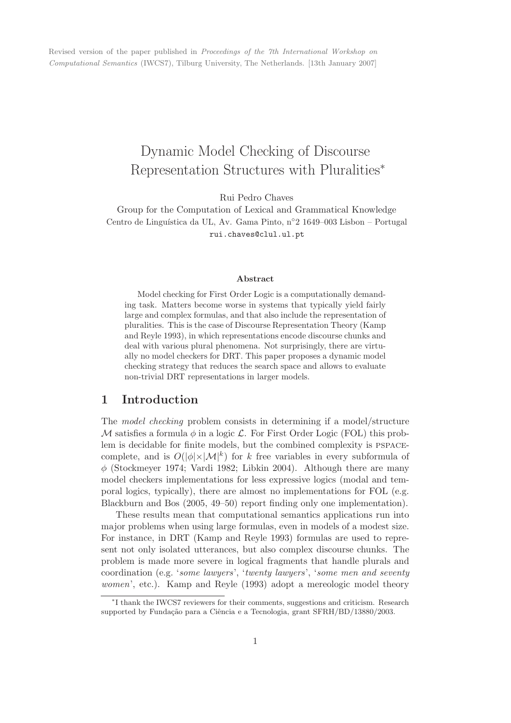Revised version of the paper published in Proceedings of the 7th International Workshop on Computational Semantics (IWCS7), Tilburg University, The Netherlands. [13th January 2007]

# Dynamic Model Checking of Discourse Representation Structures with Pluralities<sup>∗</sup>

Rui Pedro Chaves

Group for the Computation of Lexical and Grammatical Knowledge Centro de Linguística da UL, Av. Gama Pinto, n°2 1649–003 Lisbon – Portugal rui.chaves@clul.ul.pt

#### Abstract

Model checking for First Order Logic is a computationally demanding task. Matters become worse in systems that typically yield fairly large and complex formulas, and that also include the representation of pluralities. This is the case of Discourse Representation Theory (Kamp and Reyle 1993), in which representations encode discourse chunks and deal with various plural phenomena. Not surprisingly, there are virtually no model checkers for DRT. This paper proposes a dynamic model checking strategy that reduces the search space and allows to evaluate non-trivial DRT representations in larger models.

## 1 Introduction

The model checking problem consists in determining if a model/structure M satisfies a formula  $\phi$  in a logic  $\mathcal{L}$ . For First Order Logic (FOL) this problem is decidable for finite models, but the combined complexity is pspacecomplete, and is  $O(|\phi| \times |\mathcal{M}|^k)$  for k free variables in every subformula of  $\phi$  (Stockmeyer 1974; Vardi 1982; Libkin 2004). Although there are many model checkers implementations for less expressive logics (modal and temporal logics, typically), there are almost no implementations for FOL (e.g. Blackburn and Bos (2005, 49–50) report finding only one implementation).

These results mean that computational semantics applications run into major problems when using large formulas, even in models of a modest size. For instance, in DRT (Kamp and Reyle 1993) formulas are used to represent not only isolated utterances, but also complex discourse chunks. The problem is made more severe in logical fragments that handle plurals and coordination (e.g. 'some lawyers', 'twenty lawyers', 'some men and seventy women', etc.). Kamp and Reyle (1993) adopt a mereologic model theory

<sup>∗</sup> I thank the IWCS7 reviewers for their comments, suggestions and criticism. Research supported by Fundação para a Ciência e a Tecnologia, grant SFRH/BD/13880/2003.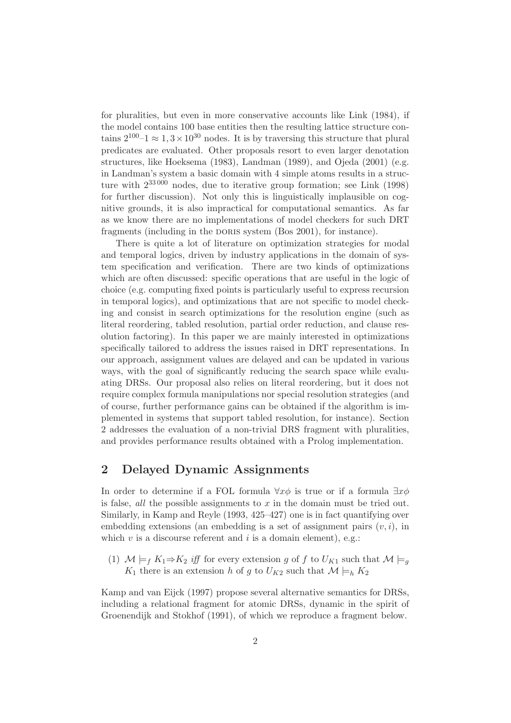for pluralities, but even in more conservative accounts like Link (1984), if the model contains 100 base entities then the resulting lattice structure contains  $2^{100} - 1 \approx 1, 3 \times 10^{30}$  nodes. It is by traversing this structure that plural predicates are evaluated. Other proposals resort to even larger denotation structures, like Hoeksema (1983), Landman (1989), and Ojeda (2001) (e.g. in Landman's system a basic domain with 4 simple atoms results in a structure with 233 000 nodes, due to iterative group formation; see Link (1998) for further discussion). Not only this is linguistically implausible on cognitive grounds, it is also impractical for computational semantics. As far as we know there are no implementations of model checkers for such DRT fragments (including in the DORIS system (Bos 2001), for instance).

There is quite a lot of literature on optimization strategies for modal and temporal logics, driven by industry applications in the domain of system specification and verification. There are two kinds of optimizations which are often discussed: specific operations that are useful in the logic of choice (e.g. computing fixed points is particularly useful to express recursion in temporal logics), and optimizations that are not specific to model checking and consist in search optimizations for the resolution engine (such as literal reordering, tabled resolution, partial order reduction, and clause resolution factoring). In this paper we are mainly interested in optimizations specifically tailored to address the issues raised in DRT representations. In our approach, assignment values are delayed and can be updated in various ways, with the goal of significantly reducing the search space while evaluating DRSs. Our proposal also relies on literal reordering, but it does not require complex formula manipulations nor special resolution strategies (and of course, further performance gains can be obtained if the algorithm is implemented in systems that support tabled resolution, for instance). Section 2 addresses the evaluation of a non-trivial DRS fragment with pluralities, and provides performance results obtained with a Prolog implementation.

## 2 Delayed Dynamic Assignments

In order to determine if a FOL formula  $\forall x \phi$  is true or if a formula  $\exists x \phi$ is false, *all* the possible assignments to  $x$  in the domain must be tried out. Similarly, in Kamp and Reyle (1993, 425–427) one is in fact quantifying over embedding extensions (an embedding is a set of assignment pairs  $(v, i)$ , in which  $v$  is a discourse referent and  $i$  is a domain element), e.g.:

(1)  $\mathcal{M} \models_f K_1 \Rightarrow K_2$  iff for every extension g of f to  $U_{K1}$  such that  $\mathcal{M} \models_q$  $K_1$  there is an extension h of g to  $U_{K2}$  such that  $\mathcal{M} \models_h K_2$ 

Kamp and van Eijck (1997) propose several alternative semantics for DRSs, including a relational fragment for atomic DRSs, dynamic in the spirit of Groenendijk and Stokhof (1991), of which we reproduce a fragment below.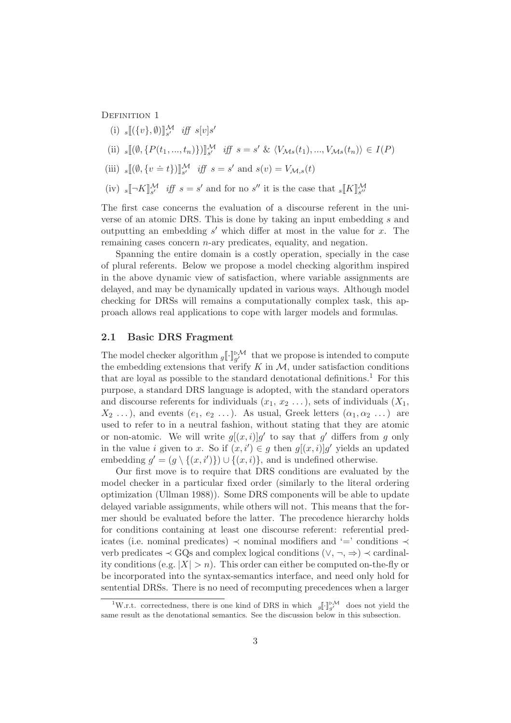DEFINITION 1

- (i)  $_s[(\{v\}, \emptyset)]_{s'}^{\mathcal{M}}$  iff  $s[v]s'$
- (ii)  $_s[[(\emptyset, \{P(t_1, ..., t_n)\})]]_{s'}^{\mathcal{M}}$  iff  $s = s' \& \langle V_{\mathcal{M}s}(t_1), ..., V_{\mathcal{M}s}(t_n) \rangle \in I(P)$
- (iii)  $_s[(\emptyset, \{v \doteq t\})]_{s'}^{\mathcal{M}}$  iff  $s = s'$  and  $s(v) = V_{\mathcal{M},s}(t)$
- (iv)  $s[\neg K]_{s'}^{\mathcal{M}}$  iff  $s = s'$  and for no  $s''$  it is the case that  $s[K]_{s''}^{\mathcal{M}}$

The first case concerns the evaluation of a discourse referent in the universe of an atomic DRS. This is done by taking an input embedding s and outputting an embedding  $s'$  which differ at most in the value for  $x$ . The remaining cases concern  $n$ -ary predicates, equality, and negation.

Spanning the entire domain is a costly operation, specially in the case of plural referents. Below we propose a model checking algorithm inspired in the above dynamic view of satisfaction, where variable assignments are delayed, and may be dynamically updated in various ways. Although model checking for DRSs will remains a computationally complex task, this approach allows real applications to cope with larger models and formulas.

### 2.1 Basic DRS Fragment

The model checker algorithm  $g[\cdot]_{g'}^{\triangleright M}$  that we propose is intended to compute the embedding extensions that verify  $K$  in  $\mathcal{M}$ , under satisfaction conditions that are loyal as possible to the standard denotational definitions.<sup>1</sup> For this purpose, a standard DRS language is adopted, with the standard operators and discourse referents for individuals  $(x_1, x_2, \ldots)$ , sets of individuals  $(X_1,$  $X_2 \ldots$ ), and events  $(e_1, e_2 \ldots)$ . As usual, Greek letters  $(\alpha_1, \alpha_2 \ldots)$  are used to refer to in a neutral fashion, without stating that they are atomic or non-atomic. We will write  $g[(x,i)]g'$  to say that g' differs from g only in the value *i* given to x. So if  $(x, i') \in g$  then  $g[(x, i)]g'$  yields an updated embedding  $g' = (g \setminus \{(x, i')\}) \cup \{(x, i)\}\)$ , and is undefined otherwise.

Our first move is to require that DRS conditions are evaluated by the model checker in a particular fixed order (similarly to the literal ordering optimization (Ullman 1988)). Some DRS components will be able to update delayed variable assignments, while others will not. This means that the former should be evaluated before the latter. The precedence hierarchy holds for conditions containing at least one discourse referent: referential predicates (i.e. nominal predicates)  $\prec$  nominal modifiers and '=' conditions  $\prec$ verb predicates  $\prec$  GQs and complex logical conditions  $(\vee, \neg, \Rightarrow) \prec$  cardinality conditions (e.g.  $|X| > n$ ). This order can either be computed on-the-fly or be incorporated into the syntax-semantics interface, and need only hold for sentential DRSs. There is no need of recomputing precedences when a larger

<sup>&</sup>lt;sup>1</sup>W.r.t. correctedness, there is one kind of DRS in which  $g[\cdot]_{a'}^{\triangleright M}$  does not yield the same result as the denotational semantics. See the discussion below in this subsection.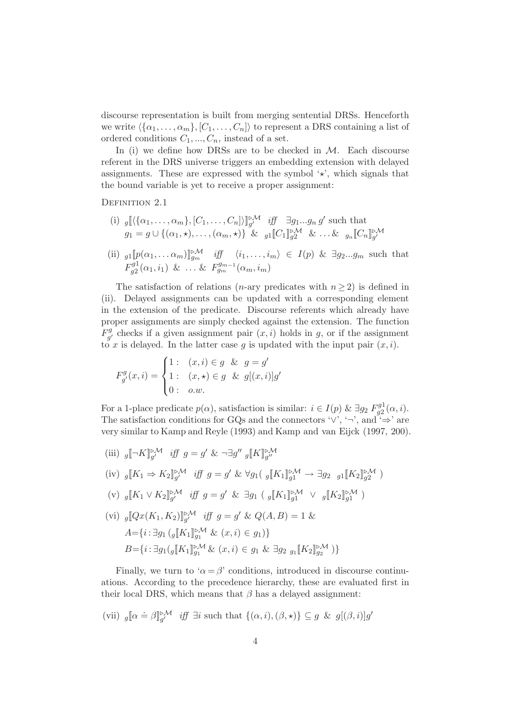discourse representation is built from merging sentential DRSs. Henceforth we write  $\{\{\alpha_1, \ldots, \alpha_m\}, [C_1, \ldots, C_n]\}\)$  to represent a DRS containing a list of ordered conditions  $C_1, ..., C_n$ , instead of a set.

In (i) we define how DRSs are to be checked in  $M$ . Each discourse referent in the DRS universe triggers an embedding extension with delayed assignments. These are expressed with the symbol  $\star$ , which signals that the bound variable is yet to receive a proper assignment:

DEFINITION 2.1

(i)  $g\left[\langle {\{\alpha_1,\ldots,\alpha_m\},[C_1,\ldots,C_n] \rangle} \right]_{g'}^{\bowtie}$  iff  $\exists g_1...g_n g'$  such that  $g_1 = g \cup \{(\alpha_1, \star), \ldots, (\alpha_m, \star)\}\&\text{ all }[C_1]\substack{p \mathcal{M}}{g_2} \&\ldots \&\text{ }g_n[\llbracket C_n\rrbracket_{g'}^{\mathcal{M}}$ 

(ii) 
$$
_{g1}[\![p(\alpha_1, \ldots \alpha_m)]\!]_{g_m}^{\triangleright M}
$$
 iff  $\langle i_1, \ldots, i_m \rangle \in I(p)$  &  $\exists g_2 \ldots g_m$  such that  $F_{g2}^{g1}(\alpha_1, i_1) \& \ldots \& F_{g_m}^{g_{m-1}}(\alpha_m, i_m)$ 

The satisfaction of relations (*n*-ary predicates with  $n \geq 2$ ) is defined in (ii). Delayed assignments can be updated with a corresponding element in the extension of the predicate. Discourse referents which already have proper assignments are simply checked against the extension. The function  $F^g_{\alpha'}$  $g'_{g'}$  checks if a given assignment pair  $(x, i)$  holds in g, or if the assignment to x is delayed. In the latter case q is updated with the input pair  $(x, i)$ .

$$
F_{g'}^g(x,i) = \begin{cases} 1: & (x,i) \in g \& g = g' \\ 1: & (x, \star) \in g \& g[(x,i)]g' \\ 0: & o.w. \end{cases}
$$

For a 1-place predicate  $p(\alpha)$ , satisfaction is similar:  $i \in I(p)$  &  $\exists g_2 F_{q2}^{g1}$  $g_2^{g_1}(\alpha,i).$ The satisfaction conditions for GQs and the connectors ' $\vee$ ', '¬', and ' $\Rightarrow$ ' are very similar to Kamp and Reyle (1993) and Kamp and van Eijck (1997, 200).

(iii)  $g \llbracket \neg K \rrbracket_{g'}^{\triangleright M}$  iff  $g = g' \& \neg \exists g'' g \llbracket K \rrbracket_{g''}^{\triangleright M}$ (iv)  $_g[K_1 \Rightarrow K_2]_{g'}^{\bowtie}$  iff  $g = g' \& \forall g_1(\ _g[K_1]_{g_1}^{\bowtie} \rightarrow \exists g_2 \ _{g_1}^{\bowtie} [K_2]_{g_2}^{\bowtie} )$ (v)  $g[[K_1 \vee K_2]]_{g'}^{\triangleright M}$  iff  $g = g' \& \exists g_1 \left( g[[K_1]]_{g_1}^{\triangleright M} \vee g[[K_2]]_{g_1}^{\triangleright M} \right)$ (vi)  $_g[Qx(K_1, K_2)]_{g'}^{\triangleright\mathcal{M}}$  iff  $g = g' \& Q(A, B) = 1 \&$  $A = \{i : \exists g_1 \left( g \llbracket K_1 \rrbracket_{g_1}^{\triangleright M} \& (x, i) \in g_1 \right) \}$  $B = \{i : \exists g_1(g[[K_1]]_{g_1}^{\triangleright M} \& (x, i) \in g_1 \& \exists g_2 \; g_1[[K_2]]_{g_2}^{\triangleright M})\}$ 

Finally, we turn to ' $\alpha = \beta$ ' conditions, introduced in discourse continuations. According to the precedence hierarchy, these are evaluated first in their local DRS, which means that  $\beta$  has a delayed assignment:

(vii)  $g[\![\alpha \stackrel{\cdot}{=} \beta]\!]_{g'}^{\triangleright\mathcal{M}}$  iff  $\exists i$  such that  $\{(\alpha, i), (\beta, \star)\} \subseteq g$  &  $g[(\beta, i)]g'$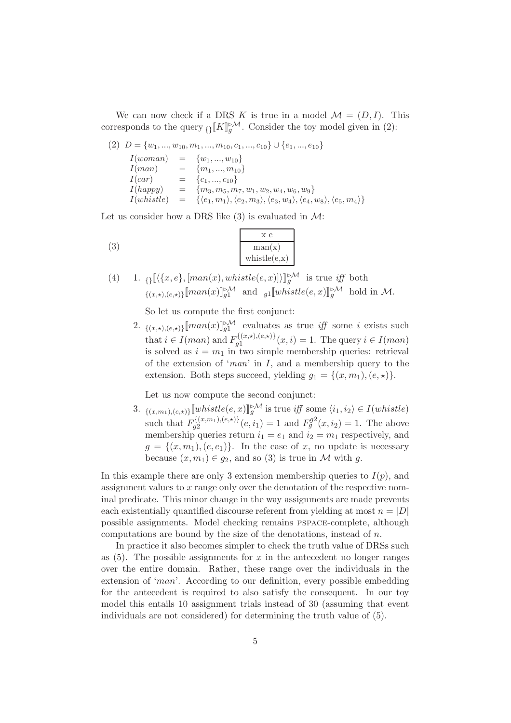We can now check if a DRS K is true in a model  $\mathcal{M} = (D, I)$ . This corresponds to the query  $\{ \} [K]_{g}^{\triangleright M}$ . Consider the toy model given in (2):

$$
(2) \ D = \{w_1, ..., w_{10}, m_1, ..., m_{10}, c_1, ..., c_{10}\} \cup \{e_1, ..., e_{10}\}
$$
  
\n
$$
I(woman) = \{w_1, ..., w_{10}\}
$$
  
\n
$$
I(man) = \{m_1, ..., m_{10}\}
$$
  
\n
$$
I(car) = \{c_1, ..., c_{10}\}
$$
  
\n
$$
I(happy) = \{m_3, m_5, m_7, w_1, w_2, w_4, w_6, w_9\}
$$
  
\n
$$
I(whistle) = \{\langle e_1, m_1 \rangle, \langle e_2, m_3 \rangle, \langle e_3, w_4 \rangle, \langle e_4, w_8 \rangle, \langle e_5, m_4 \rangle\}
$$

Let us consider how a DRS like  $(3)$  is evaluated in M:

$$
\begin{array}{c}\n \phantom{\times} \times e \\
 \hline\n \phantom{\times} \text{man(x)} \\
 \text{whistle}(e, x)\n \end{array}
$$

(4) 1. 
$$
\{ \|\langle \{x,e\}, [man(x),whistle(e,x)] \rangle \|^{\sim} \}
$$
 is true iff both 
$$
\{ (x, \star), (e, \star) \} [\text{man}(x)]^{\sim} \}
$$
 and 
$$
\text{all} \{ \text{whistle}(e, x) \|^{\sim} \}
$$
 hold in  $\mathcal{M}$ .

So let us compute the first conjunct:

2.  $\{(x, \star), (e, \star)\}\llbracket man(x)\rrbracket_{g1}^{\triangleright M}$  evaluates as true iff some i exists such that  $i \in I(man)$  and  $F_{q_1}^{\{(x,\star),(e,\star)\}}$  $g_1^{(x,\star),(e,\star)}(x,i) = 1.$  The query  $i \in I(man)$ is solved as  $i = m_1$  in two simple membership queries: retrieval of the extension of 'man' in  $I$ , and a membership query to the extension. Both steps succeed, yielding  $g_1 = \{(x, m_1), (e, \star)\}.$ 

Let us now compute the second conjunct:

3.  $\{(x,m_1), (e,\star)\}\llbracket \text{whistle}(e,x)\rrbracket_g^{\triangleright M}$  is true iff some  $\langle i_1, i_2 \rangle \in I(\text{whistle})$ such that  $F_{a2}^{\{(x,m_1),(e,\star)\}}$  $g_2^{(\{x,m_1),(e,\star)\}}(e,i_1) = 1$  and  $F_g^{g2}(x,i_2) = 1$ . The above membership queries return  $i_1 = e_1$  and  $i_2 = m_1$  respectively, and  $g = \{(x, m_1), (e, e_1)\}.$  In the case of x, no update is necessary because  $(x, m_1) \in g_2$ , and so (3) is true in M with g.

In this example there are only 3 extension membership queries to  $I(p)$ , and assignment values to x range only over the denotation of the respective nominal predicate. This minor change in the way assignments are made prevents each existentially quantified discourse referent from yielding at most  $n = |D|$ possible assignments. Model checking remains pspace-complete, although computations are bound by the size of the denotations, instead of  $n$ .

In practice it also becomes simpler to check the truth value of DRSs such as  $(5)$ . The possible assignments for x in the antecedent no longer ranges over the entire domain. Rather, these range over the individuals in the extension of 'man'. According to our definition, every possible embedding for the antecedent is required to also satisfy the consequent. In our toy model this entails 10 assignment trials instead of 30 (assuming that event individuals are not considered) for determining the truth value of (5).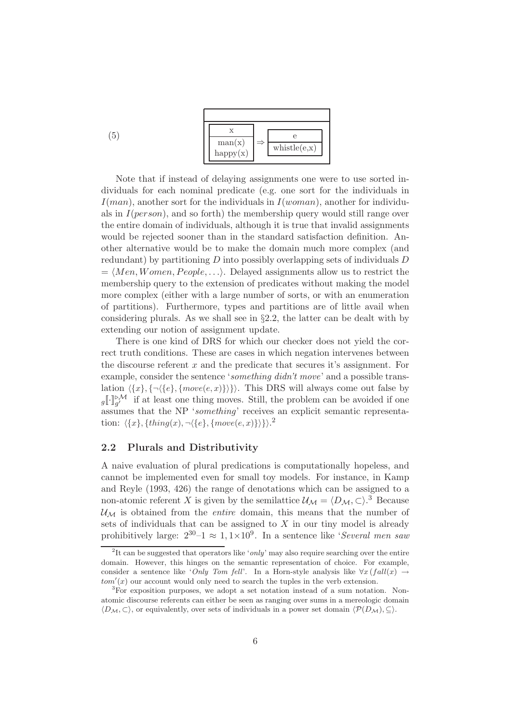

Note that if instead of delaying assignments one were to use sorted individuals for each nominal predicate (e.g. one sort for the individuals in  $I(man)$ , another sort for the individuals in  $I(woman)$ , another for individuals in  $I(person)$ , and so forth) the membership query would still range over the entire domain of individuals, although it is true that invalid assignments would be rejected sooner than in the standard satisfaction definition. Another alternative would be to make the domain much more complex (and redundant) by partitioning D into possibly overlapping sets of individuals D  $= \langle Men, Women, People, \ldots \rangle$ . Delayed assignments allow us to restrict the membership query to the extension of predicates without making the model more complex (either with a large number of sorts, or with an enumeration of partitions). Furthermore, types and partitions are of little avail when considering plurals. As we shall see in §2.2, the latter can be dealt with by extending our notion of assignment update.

There is one kind of DRS for which our checker does not yield the correct truth conditions. These are cases in which negation intervenes between the discourse referent  $x$  and the predicate that secures it's assignment. For example, consider the sentence 'something didn't move' and a possible translation  $\langle \{x\}, \{\neg(\{e\}, \{move(e, x)\}\}\rangle$ . This DRS will always come out false by  $g\llbracket \cdot \rrbracket_{g'}^{\triangleright\mathcal{M}}$  if at least one thing moves. Still, the problem can be avoided if one assumes that the NP 'something' receives an explicit semantic representation:  $\langle \{x\}, \{thing(x), \neg \langle \{e\}, \{move(e, x)\}\rangle\}\rangle^2$ 

### 2.2 Plurals and Distributivity

A naive evaluation of plural predications is computationally hopeless, and cannot be implemented even for small toy models. For instance, in Kamp and Reyle (1993, 426) the range of denotations which can be assigned to a non-atomic referent X is given by the semilattice  $\mathcal{U}_{\mathcal{M}} = \langle D_{\mathcal{M}}, \subset \rangle$ .<sup>3</sup> Because  $\mathcal{U}_M$  is obtained from the *entire* domain, this means that the number of sets of individuals that can be assigned to  $X$  in our tiny model is already prohibitively large:  $2^{30} - 1 \approx 1, 1 \times 10^9$ . In a sentence like 'Several men saw

<sup>&</sup>lt;sup>2</sup>It can be suggested that operators like '*only*' may also require searching over the entire domain. However, this hinges on the semantic representation of choice. For example, consider a sentence like 'Only Tom fell'. In a Horn-style analysis like  $\forall x (fall(x) \rightarrow$  $tom'(x)$  our account would only need to search the tuples in the verb extension.

<sup>3</sup>For exposition purposes, we adopt a set notation instead of a sum notation. Nonatomic discourse referents can either be seen as ranging over sums in a mereologic domain  $\langle D_{\mathcal{M}}, \subset \rangle$ , or equivalently, over sets of individuals in a power set domain  $\langle \mathcal{P}(D_{\mathcal{M}}), \subset \rangle$ .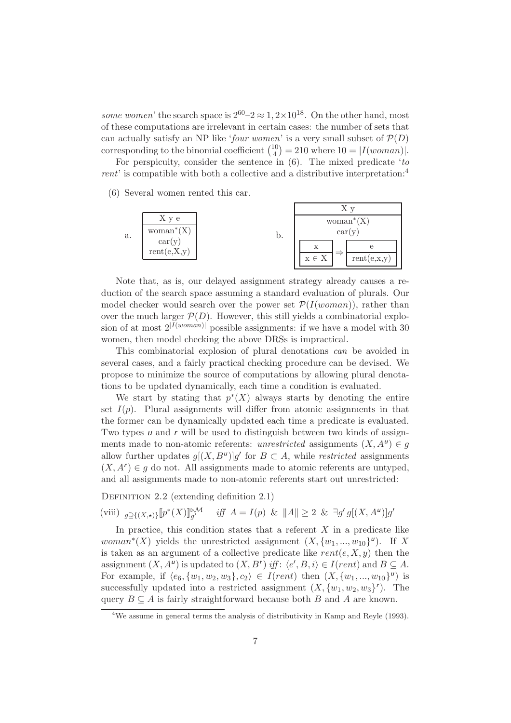some women' the search space is  $2^{60} - 2 \approx 1, 2 \times 10^{18}$ . On the other hand, most of these computations are irrelevant in certain cases: the number of sets that can actually satisfy an NP like 'four women' is a very small subset of  $\mathcal{P}(D)$ corresponding to the binomial coefficient  $\binom{10}{4}$  $\binom{10}{4} = 210$  where  $10 = |I(woman)|$ .

For perspicuity, consider the sentence in  $(6)$ . The mixed predicate 'to rent' is compatible with both a collective and a distributive interpretation:<sup>4</sup>

(6) Several women rented this car.



Note that, as is, our delayed assignment strategy already causes a reduction of the search space assuming a standard evaluation of plurals. Our model checker would search over the power set  $\mathcal{P}(I(woman))$ , rather than over the much larger  $\mathcal{P}(D)$ . However, this still yields a combinatorial explosion of at most  $2^{|I(woman)|}$  possible assignments: if we have a model with 30 women, then model checking the above DRSs is impractical.

This combinatorial explosion of plural denotations can be avoided in several cases, and a fairly practical checking procedure can be devised. We propose to minimize the source of computations by allowing plural denotations to be updated dynamically, each time a condition is evaluated.

We start by stating that  $p^*(X)$  always starts by denoting the entire set  $I(p)$ . Plural assignments will differ from atomic assignments in that the former can be dynamically updated each time a predicate is evaluated. Two types  $\mu$  and  $r$  will be used to distinguish between two kinds of assignments made to non-atomic referents: unrestricted assignments  $(X, A^{\mu}) \in g$ allow further updates  $g[(X, B^u)]g'$  for  $B \subset A$ , while *restricted* assignments  $(X, A^r) \in g$  do not. All assignments made to atomic referents are untyped, and all assignments made to non-atomic referents start out unrestricted:

DEFINITION 2.2 (extending definition 2.1)

(viii)  $g \supseteq \{(X, \star)\}$   $\llbracket p^*(X) \rrbracket_{g'}^{\triangleright M}$  iff  $A = I(p)$  &  $\llbracket A \rrbracket \geq 2$  &  $\exists g' g [(X, A^u)] g'$ 

In practice, this condition states that a referent  $X$  in a predicate like  $woman^*(X)$  yields the unrestricted assignment  $(X, \{w_1, ..., w_{10}\}^u)$ . If X is taken as an argument of a collective predicate like  $rent(e, X, y)$  then the assignment  $(X, A^{\nu})$  is updated to  $(X, B^{\nu})$  iff:  $\langle e', B, i \rangle \in I(rent)$  and  $B \subseteq A$ . For example, if  $\langle e_6, \{w_1, w_2, w_3\}, c_2 \rangle \in I(rent)$  then  $(X, \{w_1, ..., w_{10}\}^{\mu})$  is successfully updated into a restricted assignment  $(X, \{w_1, w_2, w_3\})$ . The query  $B \subseteq A$  is fairly straightforward because both B and A are known.

<sup>&</sup>lt;sup>4</sup>We assume in general terms the analysis of distributivity in Kamp and Reyle (1993).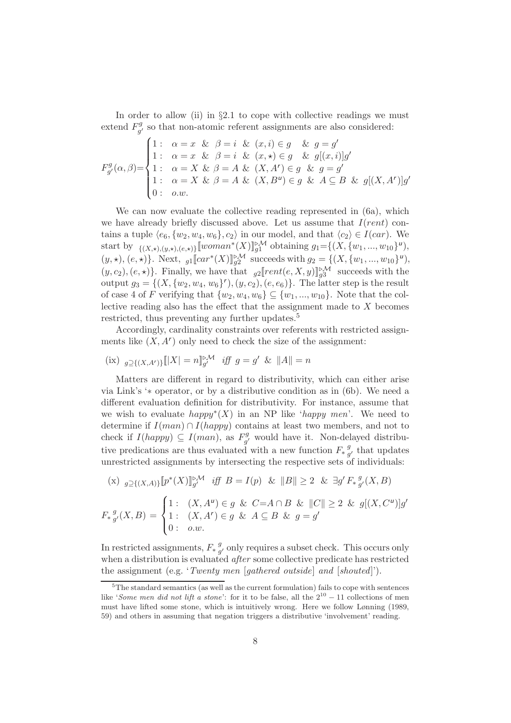In order to allow (ii) in  $\S 2.1$  to cope with collective readings we must extend  $F_{a'}^g$  $g'$  so that non-atomic referent assignments are also considered:

F g g ′(α, β)= 1 : α = x & β = i & (x, i) ∈ g & g = g ′ 1 : α = x & β = i & (x, ⋆) ∈ g & g[(x, i)]g ′ 1 : α = X & β = A & (X, A<sup>r</sup> ) ∈ g & g = g ′ 1 : α = X & β = A & (X, B<sup>u</sup> ) ∈ g & A ⊆ B & g[(X, A<sup>r</sup> )]g ′ 0 : o.w.

We can now evaluate the collective reading represented in (6a), which we have already briefly discussed above. Let us assume that  $I(rent)$  contains a tuple  $\langle e_6, \{w_2, w_4, w_6\}, c_2 \rangle$  in our model, and that  $\langle c_2 \rangle \in I(car)$ . We start by  $\{ (X, \star), (y, \star), (e, \star) \}$  [woman\* $(X)$ ]<sup>2</sup> $\mathcal{M}$  obtaining  $g_1 = \{ (X, \{w_1, ..., w_{10}\}^u),$  $(y, \star), (e, \star)$ . Next,  $g_1$ [car<sup>\*</sup>(X)]<sup>[2M</sup> succeeds with  $g_2 = \{(X, \{w_1, ..., w_{10}\}^{\mu}),$  $(y, c_2), (e, \star)$ . Finally, we have that  $g_2[rent(e, X, y)]_{g_3}^{\triangleright M}$  succeeds with the output  $g_3 = \{(X, \{w_2, w_4, w_6\}^r), (y, c_2), (e, e_6)\}.$  The latter step is the result of case 4 of F verifying that  $\{w_2, w_4, w_6\} \subseteq \{w_1, ..., w_{10}\}.$  Note that the collective reading also has the effect that the assignment made to X becomes restricted, thus preventing any further updates.<sup>5</sup>

Accordingly, cardinality constraints over referents with restricted assignments like  $(X, A^r)$  only need to check the size of the assignment:

(ix) 
$$
g_{\supseteq\{(X,A')\}}[|X| = n]_{g'}^{\triangleright M}
$$
 iff  $g = g'$  &  $||A|| = n$ 

Matters are different in regard to distributivity, which can either arise via Link's '∗ operator, or by a distributive condition as in (6b). We need a different evaluation definition for distributivity. For instance, assume that we wish to evaluate  $happy^*(X)$  in an NP like 'happy men'. We need to determine if  $I(man) \cap I(happy)$  contains at least two members, and not to check if  $I(happy) \subseteq I(man)$ , as  $F_{a'}^g$  $g'$  would have it. Non-delayed distributive predications are thus evaluated with a new function  $F_* \frac{g}{a}$  $_g^g$ , that updates unrestricted assignments by intersecting the respective sets of individuals:

$$
\begin{aligned}\n\text{(x)} \quad &g \supseteq \{ (X,A) \} \left[ p^*(X) \right]_{g'}^{\triangleright \mathcal{M}} \quad & \text{iff} \quad B = I(p) \quad \& \|B\| \geq 2 \quad \& \quad \exists g' \, F_* \, \frac{g}{g'}(X,B) \\
F_* \, \frac{g}{g'}(X,B) &= \begin{cases}\n1: & (X,A^u) \in g \, \& C = A \cap B \, \& \|C\| \geq 2 \, \& g[(X,C^u)]g' \\
1: & (X,A^r) \in g \, \& A \subseteq B \, \& g = g' \\
0: & o.w.\n\end{cases}\n\end{aligned}
$$

In restricted assignments,  $F_*\frac{g}{q}$  $_{g'}^g$  only requires a subset check. This occurs only when a distribution is evaluated *after* some collective predicate has restricted the assignment (e.g. 'Twenty men [gathered outside] and [shouted]').

 $5$ The standard semantics (as well as the current formulation) fails to cope with sentences like 'Some men did not lift a stone': for it to be false, all the  $2^{10} - 11$  collections of men must have lifted some stone, which is intuitively wrong. Here we follow Lønning (1989, 59) and others in assuming that negation triggers a distributive 'involvement' reading.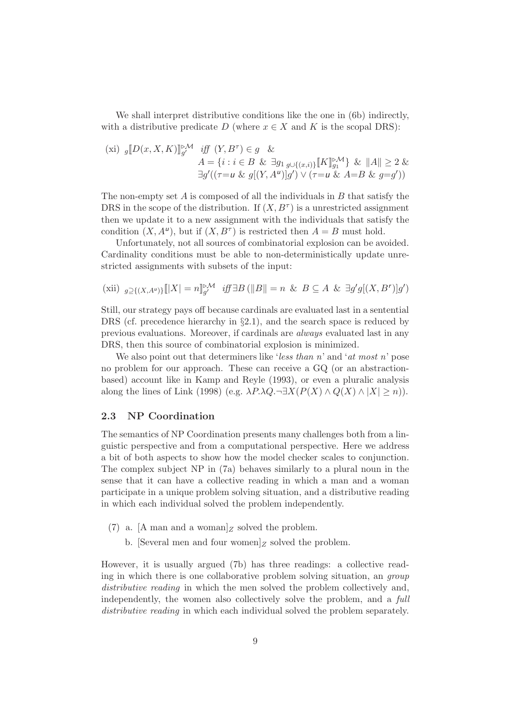We shall interpret distributive conditions like the one in (6b) indirectly, with a distributive predicate D (where  $x \in X$  and K is the scopal DRS):

$$
\begin{aligned}\n\text{(xi)} \ \ g[\![D(x, X, K)]\!]_{g'}^{\mathbb{P}^{\mathcal{M}}} \quad & \text{iff} \ \ (Y, B^{\tau}) \in g \quad \& \\ A &= \{i : i \in B \ \& \ \exists g_1 \, g \cup \{(x, i)\} [\![K]\!]_{g_1}^{\mathbb{P}^{\mathcal{M}}} \} \ \& \ \ ||A|| \ge 2 \ \& \\ \exists g'((\tau = u \ \& g[(Y, A^u)]g') \lor (\tau = u \ \& A = B \ \& g = g'))\n\end{aligned}
$$

The non-empty set  $A$  is composed of all the individuals in  $B$  that satisfy the DRS in the scope of the distribution. If  $(X, B^{\tau})$  is a unrestricted assignment then we update it to a new assignment with the individuals that satisfy the condition  $(X, A^{\nu})$ , but if  $(X, B^{\tau})$  is restricted then  $A = B$  must hold.

Unfortunately, not all sources of combinatorial explosion can be avoided. Cardinality conditions must be able to non-deterministically update unrestricted assignments with subsets of the input:

(xii) 
$$
g \supseteq \{(X,A^u)\}\llbracket |X| = n \rrbracket g^{\triangleright M}
$$
 iff  $\exists B (\|B\| = n \& B \subseteq A \& \exists g'g[(X,B^r)]g')$ 

Still, our strategy pays off because cardinals are evaluated last in a sentential DRS (cf. precedence hierarchy in §2.1), and the search space is reduced by previous evaluations. Moreover, if cardinals are always evaluated last in any DRS, then this source of combinatorial explosion is minimized.

We also point out that determiners like 'less than n' and 'at most n' pose no problem for our approach. These can receive a GQ (or an abstractionbased) account like in Kamp and Reyle (1993), or even a pluralic analysis along the lines of Link (1998) (e.g.  $\lambda P \cdot \lambda Q \cdot \exists X (P(X) \wedge Q(X) \wedge |X| \geq n)$ ).

### 2.3 NP Coordination

The semantics of NP Coordination presents many challenges both from a linguistic perspective and from a computational perspective. Here we address a bit of both aspects to show how the model checker scales to conjunction. The complex subject NP in (7a) behaves similarly to a plural noun in the sense that it can have a collective reading in which a man and a woman participate in a unique problem solving situation, and a distributive reading in which each individual solved the problem independently.

- (7) a. [A man and a woman]<sub>Z</sub> solved the problem.
	- b. [Several men and four women]z solved the problem.

However, it is usually argued (7b) has three readings: a collective reading in which there is one collaborative problem solving situation, an group distributive reading in which the men solved the problem collectively and. independently, the women also collectively solve the problem, and a full distributive reading in which each individual solved the problem separately.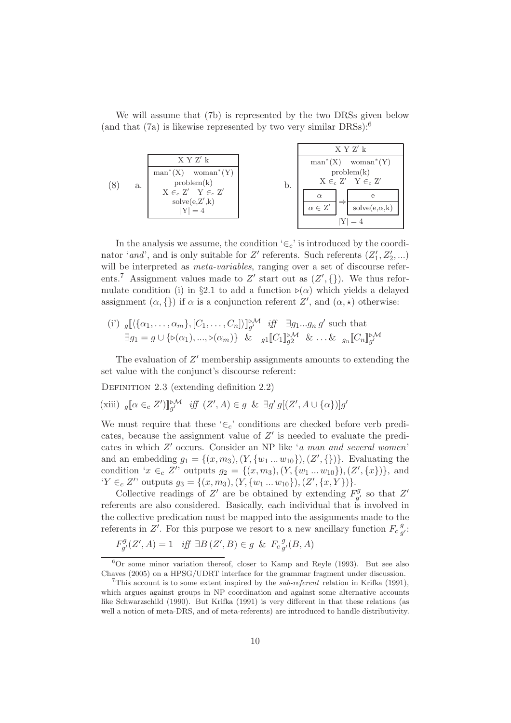We will assume that (7b) is represented by the two DRSs given below (and that  $(7a)$  is likewise represented by two very similar DRSs):<sup>6</sup>

|    |                                                                                                                            |    |                                      | X Y Z' k                                                                                                           |
|----|----------------------------------------------------------------------------------------------------------------------------|----|--------------------------------------|--------------------------------------------------------------------------------------------------------------------|
| a. | X Y Z' k<br>$man^*(X)$ woman <sup>*</sup> $(Y)$<br>problem(k)<br>$X \in_c Z'$ $Y \in_c Z'$<br>solve(e, Z', k)<br>$ Y  = 4$ | b. | $\alpha$<br>$\alpha \in \mathbb{Z}'$ | $man^*(X)$ woman <sup>*</sup> $(Y)$<br>problem(k)<br>$X \in_{c} Z'$ $Y \in_{c} Z'$<br>$\text{solve}(e, \alpha, k)$ |
|    |                                                                                                                            |    |                                      |                                                                                                                    |

In the analysis we assume, the condition ' $\in_c$ ' is introduced by the coordinator 'and', and is only suitable for  $Z'$  referents. Such referents  $(Z'_1, Z'_2, ...)$ will be interpreted as *meta-variables*, ranging over a set of discourse referents.<sup>7</sup> Assignment values made to  $Z'$  start out as  $(Z', \{\})$ . We thus reformulate condition (i) in §2.1 to add a function ⊳( $\alpha$ ) which yields a delayed assignment  $(\alpha, \{\})$  if  $\alpha$  is a conjunction referent  $Z'$ , and  $(\alpha, \star)$  otherwise:

(i') 
$$
g\left[\langle {\{\alpha_1,\ldots,\alpha_m\}, [C_1,\ldots,C_n] \rangle}\right]_{g'}^{\triangleright\mathcal{M}}
$$
 iff  $\exists g_1 \ldots g_n g'$  such that  

$$
\exists g_1 = g \cup {\{\triangleright(\alpha_1),\ldots,\triangleright(\alpha_m)\}} \& g_1\left[\!\!\left[\mathcal{C}_1\right]\!\!\right]_{g2}^{\triangleright\mathcal{M}} \& \ldots \& g_n\left[\!\!\left[\mathcal{C}_n\right]\!\!\right]_{g'}^{\triangleright\mathcal{M}}
$$

The evaluation of  $Z'$  membership assignments amounts to extending the set value with the conjunct's discourse referent:

DEFINITION 2.3 (extending definition 2.2)

(xiii) 
$$
g[\![\alpha \in_{c} Z']\!]_{g'}^{\triangleright M}
$$
 iff  $(Z', A) \in g$  &  $\exists g' g[(Z', A \cup {\alpha})\!]g'$ 

We must require that these ' $\in_c$ ' conditions are checked before verb predicates, because the assignment value of  $Z'$  is needed to evaluate the predicates in which Z ′ occurs. Consider an NP like 'a man and several women' and an embedding  $g_1 = \{(x, m_3), (Y, \{w_1 ... w_{10}\}), (Z', \{\})\}$ . Evaluating the condition ' $x \in_c Z'$ ' outputs  $g_2 = \{(x, m_3), (Y, \{w_1 \dots w_{10}\}), (Z', \{x\})\}$ , and 'Y ∈<sub>c</sub> Z'' outputs  $g_3 = \{(x, m_3), (Y, \{w_1 \dots w_{10}\}), (Z', \{x, Y\})\}.$ 

Collective readings of Z' are be obtained by extending  $F_{\alpha}^{g}$  $g'$  so that  $Z'$ referents are also considered. Basically, each individual that is involved in the collective predication must be mapped into the assignments made to the referents in  $Z'$ . For this purpose we resort to a new ancillary function  $F_c^g$  $_g^g$ :

$$
F_{g'}^g(Z', A) = 1 \quad \text{iff} \ \exists B \left(Z', B\right) \in g \ \& \ F_c \, g'(B, A)
$$

 ${}^{6}$ Or some minor variation thereof, closer to Kamp and Reyle (1993). But see also Chaves (2005) on a HPSG/UDRT interface for the grammar fragment under discussion.

<sup>&</sup>lt;sup>7</sup>This account is to some extent inspired by the *sub-referent* relation in Krifka (1991), which argues against groups in NP coordination and against some alternative accounts like Schwarzschild (1990). But Krifka (1991) is very different in that these relations (as well a notion of meta-DRS, and of meta-referents) are introduced to handle distributivity.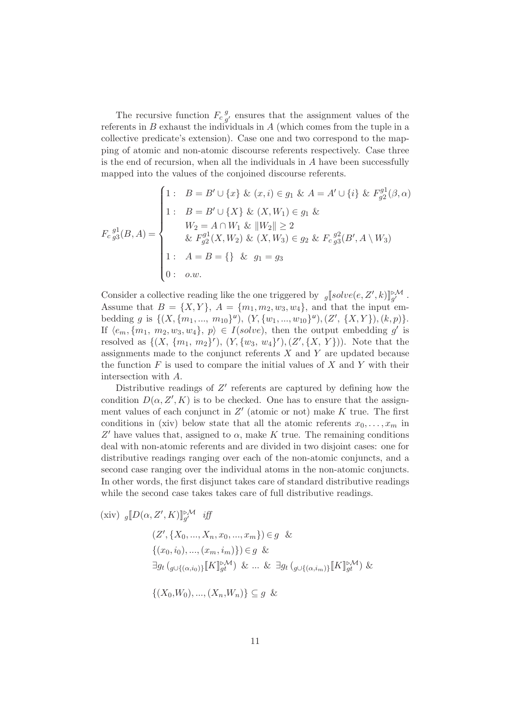The recursive function  $F_c\frac{g}{a}$  $_g^g$  ensures that the assignment values of the referents in  $B$  exhaust the individuals in  $A$  (which comes from the tuple in a collective predicate's extension). Case one and two correspond to the mapping of atomic and non-atomic discourse referents respectively. Case three is the end of recursion, when all the individuals in  $A$  have been successfully mapped into the values of the conjoined discourse referents.

$$
F_{c g_3}^{g_1}(B, A) = \begin{cases} 1: & B = B' \cup \{x\} \& (x, i) \in g_1 \& A = A' \cup \{i\} \& F_{g_2}^{g_1}(\beta, \alpha) \\ & 1: & B = B' \cup \{X\} \& (X, W_1) \in g_1 \& \\ & W_2 = A \cap W_1 \& ||W_2|| \ge 2 \\ & \& F_{g_2}^{g_1}(X, W_2) \& (X, W_3) \in g_2 \& F_{c g_3}^{g_2}(B', A \setminus W_3) \\ & 1: & A = B = \{\} \& g_1 = g_3 \\ & 0: & o.w. \end{cases}
$$

Consider a collective reading like the one triggered by  $g[solve(e, Z', k)]_{g'}^{\triangleright M}$ . Assume that  $B = \{X, Y\}$ ,  $A = \{m_1, m_2, w_3, w_4\}$ , and that the input embedding g is  $\{(X, \{m_1, ..., m_{10}\}^{\nu}), (Y, \{w_1, ..., w_{10}\}^{\nu}), (Z', \{X, Y\}), (k, p)\}.$ If  $\langle e_m, \{m_1, m_2, w_3, w_4\}, p \rangle \in I(solve)$ , then the output embedding g' is resolved as  $\{(X, \{m_1, m_2\}^r), (Y, \{w_3, w_4\}^r), (Z', \{X, Y\})\}$ . Note that the assignments made to the conjunct referents  $X$  and  $Y$  are updated because the function  $F$  is used to compare the initial values of  $X$  and  $Y$  with their intersection with A.

Distributive readings of  $Z'$  referents are captured by defining how the condition  $D(\alpha, Z', K)$  is to be checked. One has to ensure that the assignment values of each conjunct in  $Z'$  (atomic or not) make K true. The first conditions in (xiv) below state that all the atomic referents  $x_0, \ldots, x_m$  in  $Z'$  have values that, assigned to  $\alpha$ , make K true. The remaining conditions deal with non-atomic referents and are divided in two disjoint cases: one for distributive readings ranging over each of the non-atomic conjuncts, and a second case ranging over the individual atoms in the non-atomic conjuncts. In other words, the first disjunct takes care of standard distributive readings while the second case takes takes care of full distributive readings.

(xiv) 
$$
g[D(\alpha, Z', K)]_{g'}^{\beta M}
$$
 iff  
\n
$$
(Z', \{X_0, ..., X_n, x_0, ..., x_m\}) \in g \&
$$
\n
$$
\{(x_0, i_0), ..., (x_m, i_m)\}) \in g \&
$$
\n
$$
\exists g_t \left( g \cup \{(\alpha, i_0)\} [K]_{g}^{\beta M} \right) \& \dots \& \exists g_t \left( g \cup \{(\alpha, i_m)\} [K]_{g}^{\beta M} \right) \&
$$
\n
$$
\{(X_0, W_0), ..., (X_n, W_n)\} \subseteq g \&
$$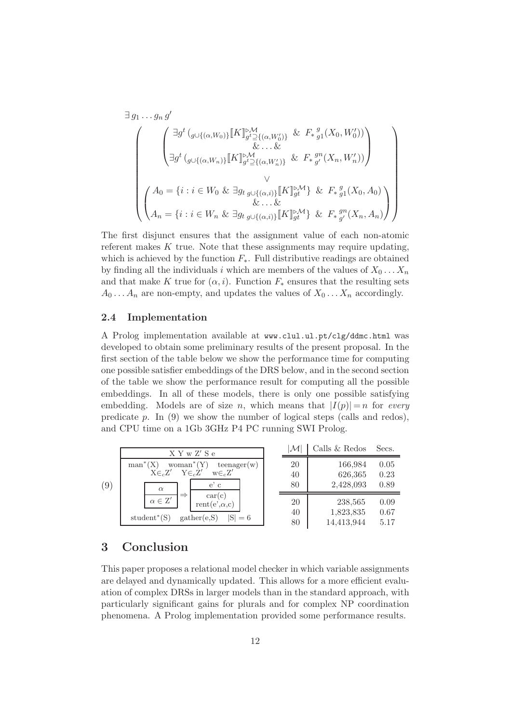$$
\exists g_1 \dots g_n g'
$$
\n
$$
\left( \begin{array}{c} \exists g^t \left( g \cup \{ (\alpha, W_0) \} \ll \mathbb{K} \right) \} \mathbb{K} \mathbb{K} \mathbb{K} \mathbb{K} \mathbb{K} \mathbb{K} \mathbb{K} \mathbb{K} \mathbb{K} \mathbb{K} \mathbb{K} \mathbb{K} \mathbb{K} \mathbb{K} \mathbb{K} \mathbb{K} \mathbb{K} \mathbb{K} \mathbb{K} \mathbb{K} \mathbb{K} \mathbb{K} \mathbb{K} \mathbb{K} \mathbb{K} \mathbb{K} \mathbb{K} \mathbb{K} \mathbb{K} \mathbb{K} \mathbb{K} \mathbb{K} \mathbb{K} \mathbb{K} \mathbb{K} \mathbb{K} \mathbb{K} \mathbb{K} \mathbb{K} \mathbb{K} \mathbb{K} \mathbb{K} \mathbb{K} \mathbb{K} \mathbb{K} \mathbb{K} \mathbb{K} \mathbb{K} \mathbb{K} \mathbb{K} \mathbb{K} \mathbb{K} \mathbb{K} \mathbb{K} \mathbb{K} \mathbb{K} \mathbb{K} \mathbb{K} \mathbb{K} \mathbb{K} \mathbb{K} \mathbb{K} \mathbb{K} \mathbb{K} \mathbb{K} \mathbb{K} \mathbb{K} \mathbb{K} \mathbb{K} \mathbb{K} \mathbb{K} \mathbb{K} \mathbb{K} \mathbb{K} \mathbb{K} \mathbb{K} \mathbb{K} \mathbb{K} \mathbb{K} \mathbb{K} \mathbb{K} \mathbb{K} \mathbb{K} \mathbb{K} \mathbb{K} \mathbb{K} \mathbb{K} \mathbb{K} \mathbb{K} \mathbb{K} \mathbb{K} \mathbb{K} \mathbb{K} \mathbb{K} \mathbb{K} \mathbb{K} \mathbb{K} \mathbb{K} \mathbb{K} \mathbb{K} \mathbb{K} \mathbb{K} \mathbb{K} \mathbb{K} \mathbb{K} \mathbb{K} \mathbb{K} \mathbb{K} \mathbb{K} \mathbb{K} \mathbb{K} \mathbb{K} \mathbb{K} \mathbb{K} \mathbb{K} \mathbb{K}
$$

The first disjunct ensures that the assignment value of each non-atomic referent makes  $K$  true. Note that these assignments may require updating, which is achieved by the function  $F_*$ . Full distributive readings are obtained by finding all the individuals i which are members of the values of  $X_0 \ldots X_n$ and that make K true for  $(\alpha, i)$ . Function  $F_*$  ensures that the resulting sets  $A_0 \ldots A_n$  are non-empty, and updates the values of  $X_0 \ldots X_n$  accordingly.

### 2.4 Implementation

A Prolog implementation available at www.clul.ul.pt/clg/ddmc.html was developed to obtain some preliminary results of the present proposal. In the first section of the table below we show the performance time for computing one possible satisfier embeddings of the DRS below, and in the second section of the table we show the performance result for computing all the possible embeddings. In all of these models, there is only one possible satisfying embedding. Models are of size n, which means that  $|I(p)| = n$  for every predicate p. In (9) we show the number of logical steps (calls and redos), and CPU time on a 1Gb 3GHz P4 PC running SWI Prolog.

(9) X Y w Z′ S e  $man^*(X)$  $woman^*(Y)$  $teenager(w)$  $X\in_cZ'$  $Y \in cZ'$  $\int'$  w $\in_c Z'$ α  $\alpha \in \mathcal{Z}$  $\overline{\phantom{a}}$   $\Rightarrow$ e' c  $car(c)$ rent $(e', \alpha, c)$ student<sup>\*</sup>(S)  $gather(e, S) \quad |S| = 6$  $|\mathcal{M}|$  Calls & Redos Secs. 20 166,984 0.05 40 626,365 0.23 80 2,428,093 0.89 20 238,565 0.09 40 1,823,835 0.67 80 14,413,944 5.17

## 3 Conclusion

This paper proposes a relational model checker in which variable assignments are delayed and dynamically updated. This allows for a more efficient evaluation of complex DRSs in larger models than in the standard approach, with particularly significant gains for plurals and for complex NP coordination phenomena. A Prolog implementation provided some performance results.